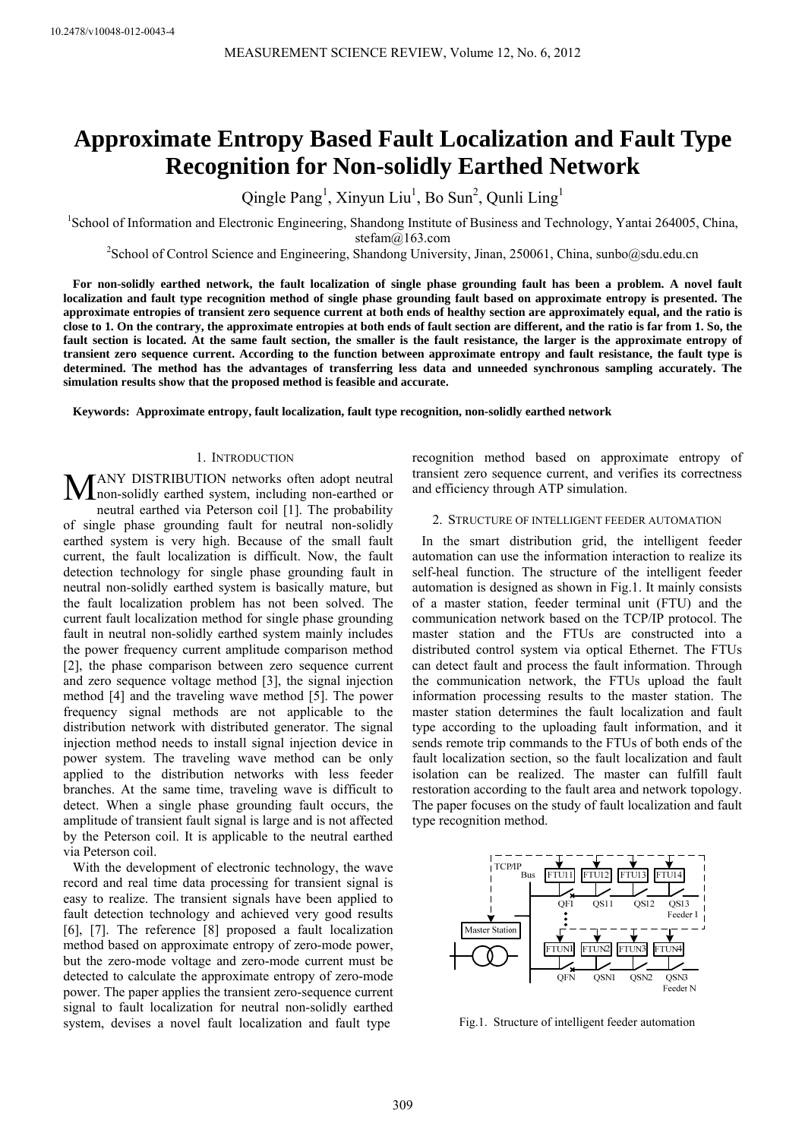# **Approximate Entropy Based Fault Localization and Fault Type Recognition for Non-solidly Earthed Network**

Qingle Pang<sup>1</sup>, Xinyun Liu<sup>1</sup>, Bo Sun<sup>2</sup>, Qunli Ling<sup>1</sup>

<sup>1</sup>School of Information and Electronic Engineering, Shandong Institute of Business and Technology, Yantai 264005, China,

stefam@163.com<br><sup>2</sup>School of Control Science and Engineering, Shandong University, Jinan, 250061, China, sunbo@sdu.edu.cn<sup>2</sup>

**For non-solidly earthed network, the fault localization of single phase grounding fault has been a problem. A novel fault localization and fault type recognition method of single phase grounding fault based on approximate entropy is presented. The approximate entropies of transient zero sequence current at both ends of healthy section are approximately equal, and the ratio is close to 1. On the contrary, the approximate entropies at both ends of fault section are different, and the ratio is far from 1. So, the fault section is located. At the same fault section, the smaller is the fault resistance, the larger is the approximate entropy of transient zero sequence current. According to the function between approximate entropy and fault resistance, the fault type is determined. The method has the advantages of transferring less data and unneeded synchronous sampling accurately. The simulation results show that the proposed method is feasible and accurate.** 

**Keywords: Approximate entropy, fault localization, fault type recognition, non-solidly earthed network** 

#### 1. INTRODUCTION

ANY DISTRIBUTION networks often adopt neutral MANY DISTRIBUTION networks often adopt neutral<br>
non-solidly earthed system, including non-earthed or neutral earthed via Peterson coil [1]. The probability of single phase grounding fault for neutral non-solidly earthed system is very high. Because of the small fault current, the fault localization is difficult. Now, the fault detection technology for single phase grounding fault in neutral non-solidly earthed system is basically mature, but the fault localization problem has not been solved. The current fault localization method for single phase grounding fault in neutral non-solidly earthed system mainly includes the power frequency current amplitude comparison method [2], the phase comparison between zero sequence current and zero sequence voltage method [3], the signal injection method [4] and the traveling wave method [5]. The power frequency signal methods are not applicable to the distribution network with distributed generator. The signal injection method needs to install signal injection device in power system. The traveling wave method can be only applied to the distribution networks with less feeder branches. At the same time, traveling wave is difficult to detect. When a single phase grounding fault occurs, the amplitude of transient fault signal is large and is not affected by the Peterson coil. It is applicable to the neutral earthed via Peterson coil.

With the development of electronic technology, the wave record and real time data processing for transient signal is easy to realize. The transient signals have been applied to fault detection technology and achieved very good results [6], [7]. The reference [8] proposed a fault localization method based on approximate entropy of zero-mode power, but the zero-mode voltage and zero-mode current must be detected to calculate the approximate entropy of zero-mode power. The paper applies the transient zero-sequence current signal to fault localization for neutral non-solidly earthed system, devises a novel fault localization and fault type

recognition method based on approximate entropy of transient zero sequence current, and verifies its correctness and efficiency through ATP simulation.

## 2. STRUCTURE OF INTELLIGENT FEEDER AUTOMATION

In the smart distribution grid, the intelligent feeder automation can use the information interaction to realize its self-heal function. The structure of the intelligent feeder automation is designed as shown in Fig.1. It mainly consists of a master station, feeder terminal unit (FTU) and the communication network based on the TCP/IP protocol. The master station and the FTUs are constructed into a distributed control system via optical Ethernet. The FTUs can detect fault and process the fault information. Through the communication network, the FTUs upload the fault information processing results to the master station. The master station determines the fault localization and fault type according to the uploading fault information, and it sends remote trip commands to the FTUs of both ends of the fault localization section, so the fault localization and fault isolation can be realized. The master can fulfill fault restoration according to the fault area and network topology. The paper focuses on the study of fault localization and fault type recognition method.



Fig.1. Structure of intelligent feeder automation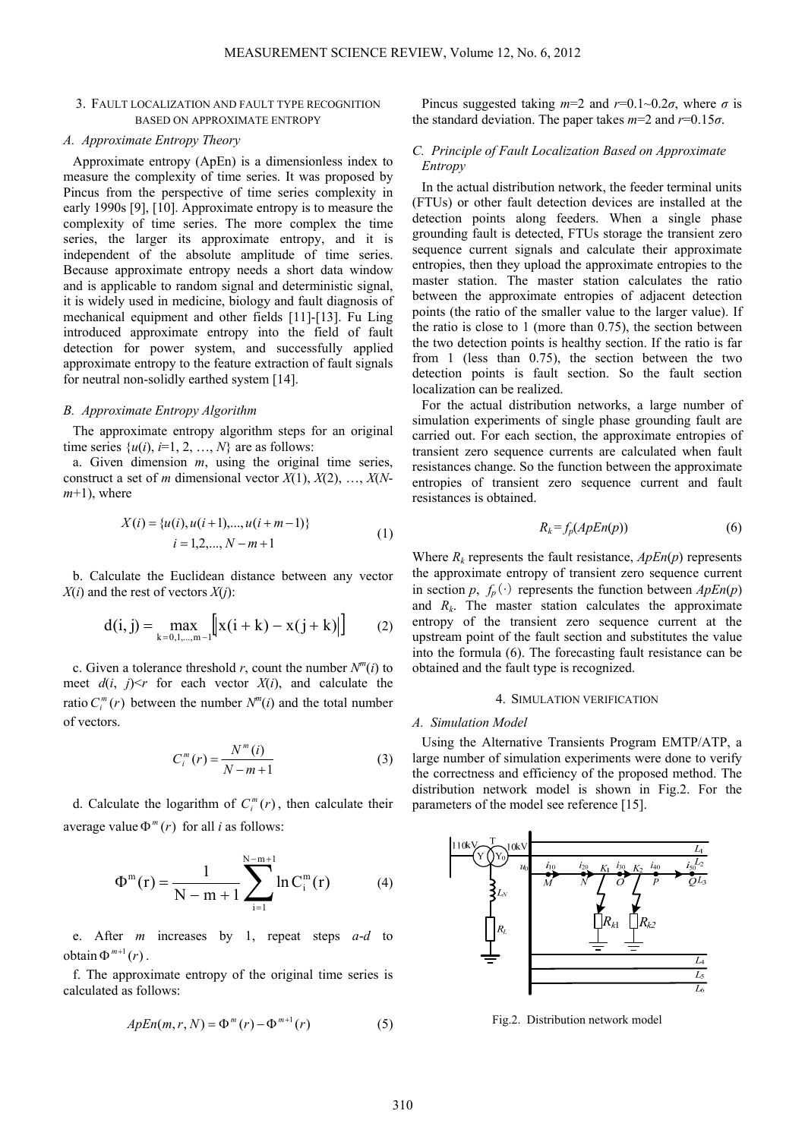## 3. FAULT LOCALIZATION AND FAULT TYPE RECOGNITION BASED ON APPROXIMATE ENTROPY

# *A. Approximate Entropy Theory*

Approximate entropy (ApEn) is a dimensionless index to measure the complexity of time series. It was proposed by Pincus from the perspective of time series complexity in early 1990s [9], [10]. Approximate entropy is to measure the complexity of time series. The more complex the time series, the larger its approximate entropy, and it is independent of the absolute amplitude of time series. Because approximate entropy needs a short data window and is applicable to random signal and deterministic signal, it is widely used in medicine, biology and fault diagnosis of mechanical equipment and other fields [11]-[13]. Fu Ling introduced approximate entropy into the field of fault detection for power system, and successfully applied approximate entropy to the feature extraction of fault signals for neutral non-solidly earthed system [14].

# *B. Approximate Entropy Algorithm*

The approximate entropy algorithm steps for an original time series  $\{u(i), i=1, 2, ..., N\}$  are as follows:

a. Given dimension *m*, using the original time series, construct a set of *m* dimensional vector *X*(1), *X*(2), …, *X*(*N* $m+1$ ), where

$$
X(i) = {u(i), u(i+1),..., u(i+m-1)}
$$
  

$$
i = 1,2,..., N-m+1
$$
 (1)

b. Calculate the Euclidean distance between any vector  $X(i)$  and the rest of vectors  $X(i)$ :

$$
d(i, j) = \max_{k=0,1,\dots,m-1} [x(i+k) - x(j+k)] \qquad (2)
$$

c. Given a tolerance threshold *r*, count the number  $N^m(i)$  to meet  $d(i, j) \leq r$  for each vector  $X(i)$ , and calculate the ratio  $C_i^m(r)$  between the number  $N^m(i)$  and the total number of vectors.

$$
C_i^m(r) = \frac{N^m(i)}{N - m + 1}
$$
 (3)

d. Calculate the logarithm of  $C_i^m(r)$ , then calculate their average value  $\Phi^{m}(r)$  for all *i* as follows:

$$
\Phi^m(r) = \frac{1}{N - m + 1} \sum_{i=1}^{N - m + 1} \ln C_i^m(r) \tag{4}
$$

e. After *m* increases by 1, repeat steps *a*-*d* to  $obtain \Phi^{m+1}(r)$ .

f. The approximate entropy of the original time series is calculated as follows:

$$
ApEn(m, r, N) = \Phi^{m}(r) - \Phi^{m+1}(r)
$$
\n(5)

Pincus suggested taking  $m=2$  and  $r=0.1$ ~0.2 $\sigma$ , where  $\sigma$  is the standard deviation. The paper takes  $m=2$  and  $r=0.15\sigma$ .

# *C. Principle of Fault Localization Based on Approximate Entropy*

In the actual distribution network, the feeder terminal units (FTUs) or other fault detection devices are installed at the detection points along feeders. When a single phase grounding fault is detected, FTUs storage the transient zero sequence current signals and calculate their approximate entropies, then they upload the approximate entropies to the master station. The master station calculates the ratio between the approximate entropies of adjacent detection points (the ratio of the smaller value to the larger value). If the ratio is close to 1 (more than 0.75), the section between the two detection points is healthy section. If the ratio is far from 1 (less than 0.75), the section between the two detection points is fault section. So the fault section localization can be realized.

For the actual distribution networks, a large number of simulation experiments of single phase grounding fault are carried out. For each section, the approximate entropies of transient zero sequence currents are calculated when fault resistances change. So the function between the approximate entropies of transient zero sequence current and fault resistances is obtained.

$$
R_k = f_p(ApEn(p))\tag{6}
$$

Where  $R_k$  represents the fault resistance,  $ApEn(p)$  represents the approximate entropy of transient zero sequence current in section *p*,  $f_p(\cdot)$  represents the function between  $ApEn(p)$ and  $R_k$ . The master station calculates the approximate entropy of the transient zero sequence current at the upstream point of the fault section and substitutes the value into the formula (6). The forecasting fault resistance can be obtained and the fault type is recognized.

## 4. SIMULATION VERIFICATION

#### *A. Simulation Model*

Using the Alternative Transients Program EMTP/ATP, a large number of simulation experiments were done to verify the correctness and efficiency of the proposed method. The distribution network model is shown in Fig.2. For the parameters of the model see reference [15].



Fig.2. Distribution network model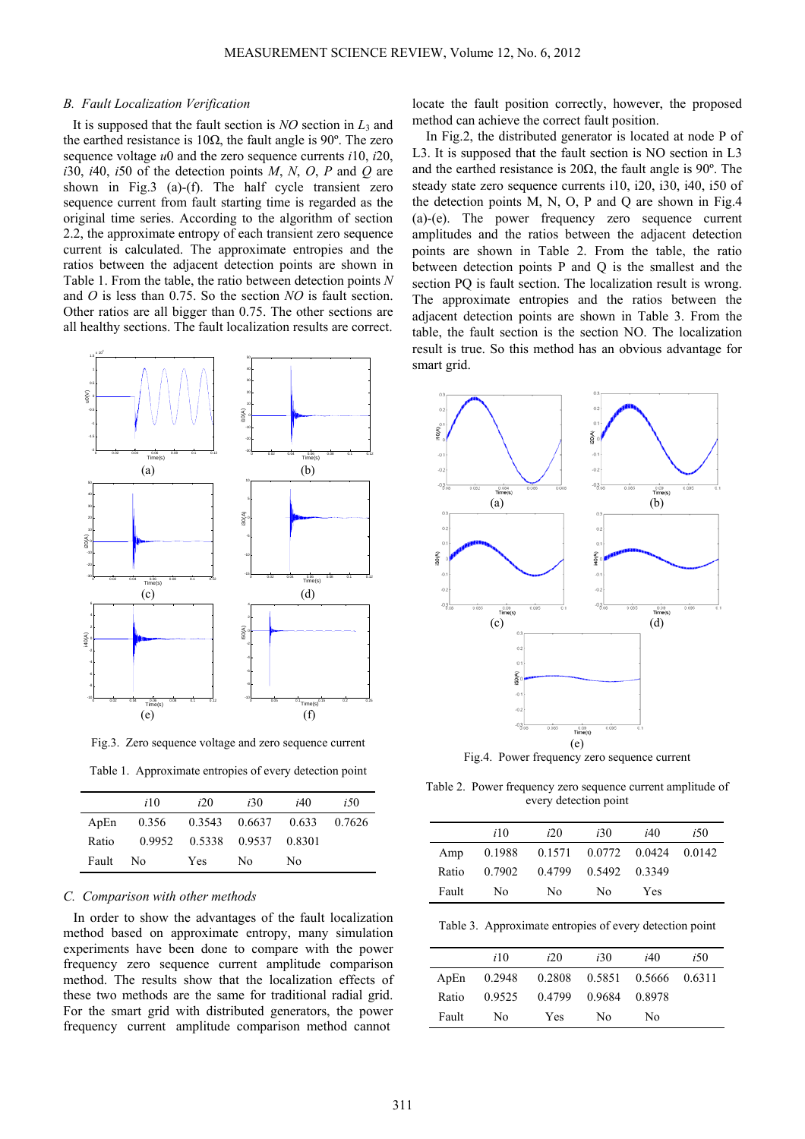## *B. Fault Localization Verification*

It is supposed that the fault section is *NO* section in  $L_3$  and the earthed resistance is  $10\Omega$ , the fault angle is 90°. The zero sequence voltage *u*0 and the zero sequence currents *i*10, *i*20,  $i30$ ,  $i40$ ,  $i50$  of the detection points *M*, *N*, *O*, *P* and *Q* are shown in Fig.3 (a)-(f). The half cycle transient zero sequence current from fault starting time is regarded as the original time series. According to the algorithm of section 2.2, the approximate entropy of each transient zero sequence current is calculated. The approximate entropies and the ratios between the adjacent detection points are shown in Table 1. From the table, the ratio between detection points *N* and *O* is less than 0.75. So the section *NO* is fault section. Other ratios are all bigger than 0.75. The other sections are all healthy sections. The fault localization results are correct.



Fig.3. Zero sequence voltage and zero sequence current

Table 1. Approximate entropies of every detection point

|       | i10 | i20                              | <i>i</i> 30 | i40 | <i>i</i> 50 |
|-------|-----|----------------------------------|-------------|-----|-------------|
| ApEn  |     | 0.356 0.3543 0.6637 0.633 0.7626 |             |     |             |
| Ratio |     | 0.9952 0.5338 0.9537 0.8301      |             |     |             |
| Fault | No. | <b>Yes</b>                       | No.         | No. |             |

# *C. Comparison with other methods*

 In order to show the advantages of the fault localization method based on approximate entropy, many simulation experiments have been done to compare with the power frequency zero sequence current amplitude comparison method. The results show that the localization effects of these two methods are the same for traditional radial grid. For the smart grid with distributed generators, the power frequency current amplitude comparison method cannot

locate the fault position correctly, however, the proposed method can achieve the correct fault position.

In Fig.2, the distributed generator is located at node P of L3. It is supposed that the fault section is NO section in L3 and the earthed resistance is  $20\Omega$ , the fault angle is 90°. The steady state zero sequence currents i10, i20, i30, i40, i50 of the detection points M, N, O, P and O are shown in Fig.4 (a)-(e). The power frequency zero sequence current amplitudes and the ratios between the adjacent detection points are shown in Table 2. From the table, the ratio between detection points P and Q is the smallest and the section PQ is fault section. The localization result is wrong. The approximate entropies and the ratios between the adjacent detection points are shown in Table 3. From the table, the fault section is the section NO. The localization result is true. So this method has an obvious advantage for smart grid.



Fig.4. Power frequency zero sequence current

Table 2. Power frequency zero sequence current amplitude of every detection point

|       | <i>i</i> 10 | i20                                | i30                  | i40 | <i>i</i> 50 |
|-------|-------------|------------------------------------|----------------------|-----|-------------|
| Amp   |             | 0.1988 0.1571 0.0772 0.0424 0.0142 |                      |     |             |
| Ratio | 0.7902      |                                    | 0.4799 0.5492 0.3349 |     |             |
| Fault | No.         | No                                 | No                   | Yes |             |

Table 3. Approximate entropies of every detection point

|       | <i>i</i> 10 | i20                                | <i>i</i> 30 | i40    | <i>i</i> 50 |
|-------|-------------|------------------------------------|-------------|--------|-------------|
| ApEn  |             | 0.2948 0.2808 0.5851 0.5666 0.6311 |             |        |             |
| Ratio | 0.9525      | 0.4799                             | 0.9684      | 0.8978 |             |
| Fault | Nο          | Yes                                | Nο          | Nο     |             |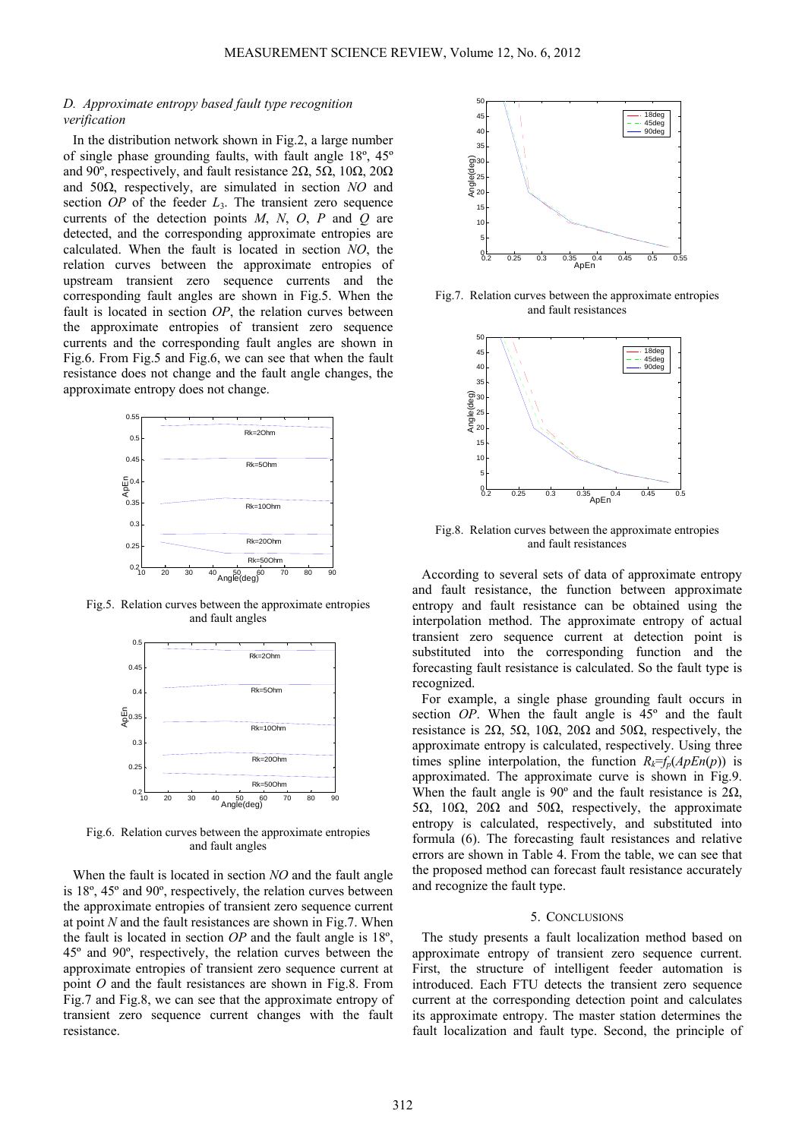# *D. Approximate entropy based fault type recognition verification*

In the distribution network shown in Fig.2, a large number of single phase grounding faults, with fault angle 18º, 45º and 90<sup>°</sup>, respectively, and fault resistance 2 $\Omega$ , 5 $\Omega$ , 10 $\Omega$ , 20 $\Omega$ and 50Ω, respectively, are simulated in section *NO* and section *OP* of the feeder *L*3. The transient zero sequence currents of the detection points *M*, *N*, *O*, *P* and *Q* are detected, and the corresponding approximate entropies are calculated. When the fault is located in section *NO*, the relation curves between the approximate entropies of upstream transient zero sequence currents and the corresponding fault angles are shown in Fig.5. When the fault is located in section *OP*, the relation curves between the approximate entropies of transient zero sequence currents and the corresponding fault angles are shown in Fig.6. From Fig.5 and Fig.6, we can see that when the fault resistance does not change and the fault angle changes, the approximate entropy does not change.



Fig.5. Relation curves between the approximate entropies and fault angles



Fig.6. Relation curves between the approximate entropies and fault angles

When the fault is located in section *NO* and the fault angle is 18º, 45º and 90º, respectively, the relation curves between the approximate entropies of transient zero sequence current at point *N* and the fault resistances are shown in Fig.7. When the fault is located in section *OP* and the fault angle is 18º, 45º and 90º, respectively, the relation curves between the approximate entropies of transient zero sequence current at point *O* and the fault resistances are shown in Fig.8. From Fig.7 and Fig.8, we can see that the approximate entropy of transient zero sequence current changes with the fault resistance.



Fig.7. Relation curves between the approximate entropies and fault resistances



Fig.8. Relation curves between the approximate entropies and fault resistances

According to several sets of data of approximate entropy and fault resistance, the function between approximate entropy and fault resistance can be obtained using the interpolation method. The approximate entropy of actual transient zero sequence current at detection point is substituted into the corresponding function and the forecasting fault resistance is calculated. So the fault type is recognized.

For example, a single phase grounding fault occurs in section *OP*. When the fault angle is 45º and the fault resistance is 2Ω, 5Ω, 10Ω, 20Ω and 50Ω, respectively, the approximate entropy is calculated, respectively. Using three times spline interpolation, the function  $R_k = f_p(ApEn(p))$  is approximated. The approximate curve is shown in Fig.9. When the fault angle is 90 $^{\circ}$  and the fault resistance is 2 $\Omega$ , 5Ω, 10Ω, 20Ω and 50Ω, respectively, the approximate entropy is calculated, respectively, and substituted into formula (6). The forecasting fault resistances and relative errors are shown in Table 4. From the table, we can see that the proposed method can forecast fault resistance accurately and recognize the fault type.

# 5. CONCLUSIONS

The study presents a fault localization method based on approximate entropy of transient zero sequence current. First, the structure of intelligent feeder automation is introduced. Each FTU detects the transient zero sequence current at the corresponding detection point and calculates its approximate entropy. The master station determines the fault localization and fault type. Second, the principle of